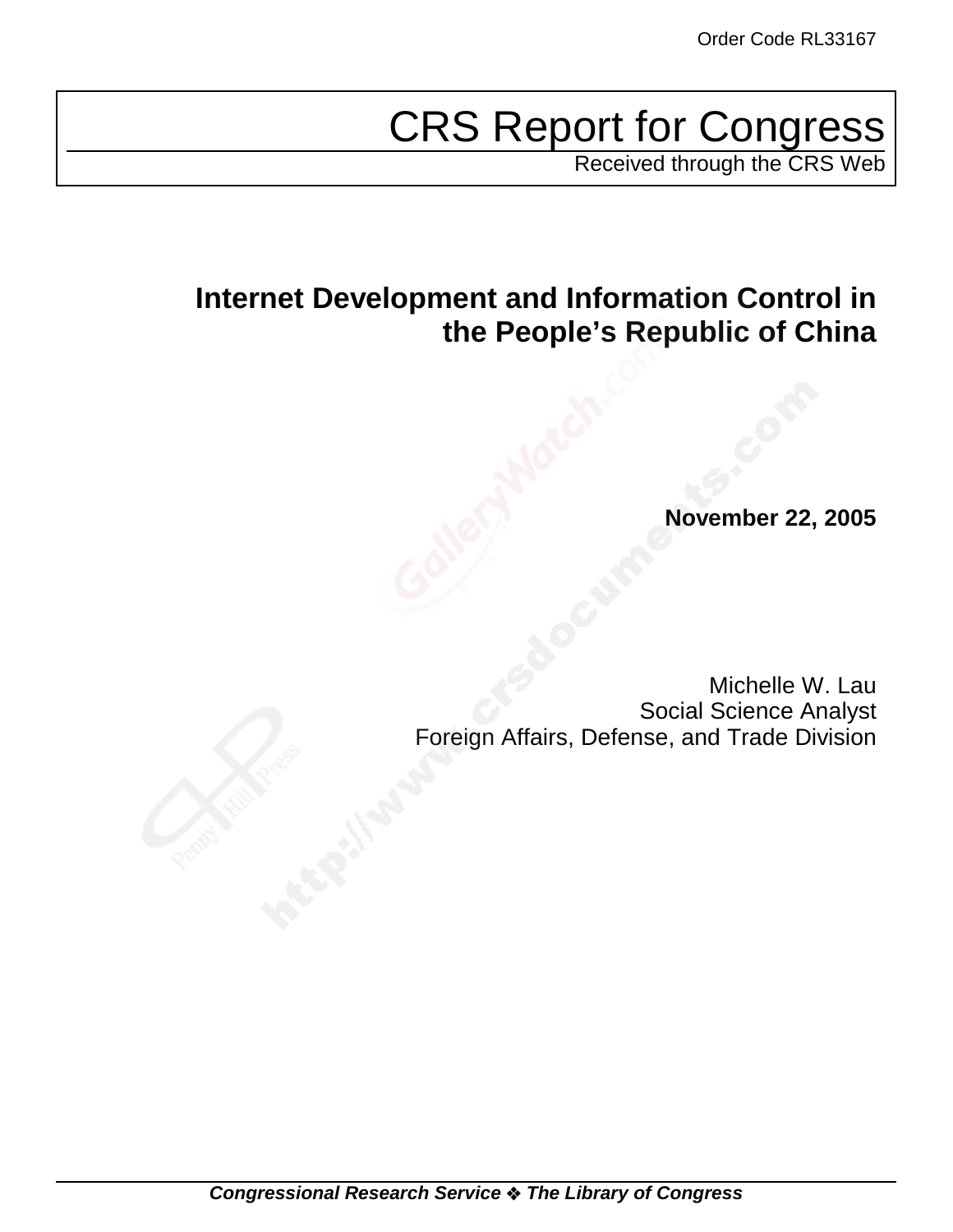# CRS Report for Congress

Received through the CRS Web

# **Internet Development and Information Control in the People's Republic of China**

**November 22, 2005**

Michelle W. Lau Social Science Analyst Foreign Affairs, Defense, and Trade Division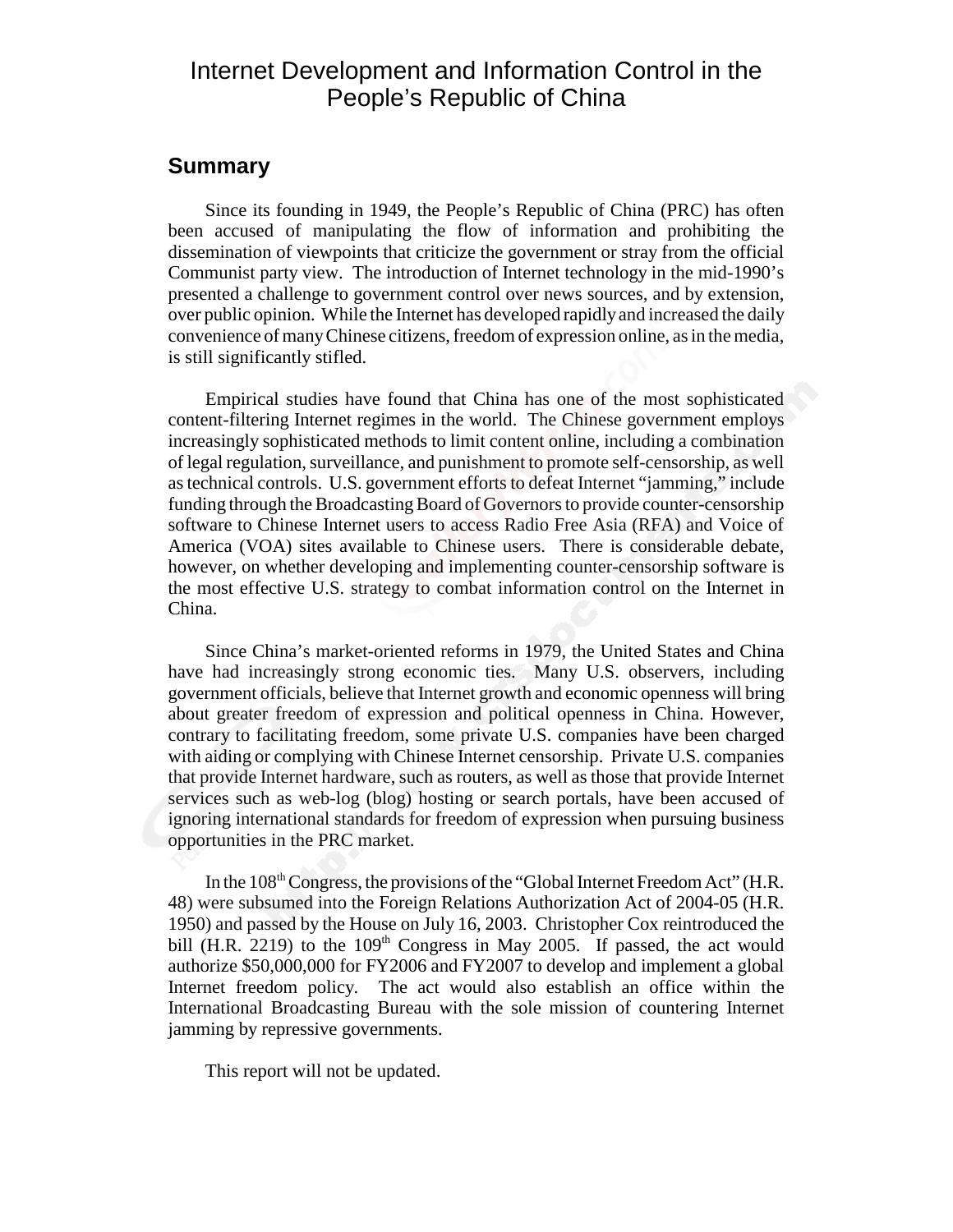# Internet Development and Information Control in the People's Republic of China

### **Summary**

Since its founding in 1949, the People's Republic of China (PRC) has often been accused of manipulating the flow of information and prohibiting the dissemination of viewpoints that criticize the government or stray from the official Communist party view. The introduction of Internet technology in the mid-1990's presented a challenge to government control over news sources, and by extension, over public opinion. While the Internet has developed rapidly and increased the daily convenience of many Chinese citizens, freedom of expression online, as in the media, is still significantly stifled.

Empirical studies have found that China has one of the most sophisticated content-filtering Internet regimes in the world. The Chinese government employs increasingly sophisticated methods to limit content online, including a combination of legal regulation, surveillance, and punishment to promote self-censorship, as well as technical controls. U.S. government efforts to defeat Internet "jamming," include funding through the Broadcasting Board of Governors to provide counter-censorship software to Chinese Internet users to access Radio Free Asia (RFA) and Voice of America (VOA) sites available to Chinese users. There is considerable debate, however, on whether developing and implementing counter-censorship software is the most effective U.S. strategy to combat information control on the Internet in China.

Since China's market-oriented reforms in 1979, the United States and China have had increasingly strong economic ties. Many U.S. observers, including government officials, believe that Internet growth and economic openness will bring about greater freedom of expression and political openness in China. However, contrary to facilitating freedom, some private U.S. companies have been charged with aiding or complying with Chinese Internet censorship. Private U.S. companies that provide Internet hardware, such as routers, as well as those that provide Internet services such as web-log (blog) hosting or search portals, have been accused of ignoring international standards for freedom of expression when pursuing business opportunities in the PRC market.

In the 108<sup>th</sup> Congress, the provisions of the "Global Internet Freedom Act" (H.R. 48) were subsumed into the Foreign Relations Authorization Act of 2004-05 (H.R. 1950) and passed by the House on July 16, 2003. Christopher Cox reintroduced the bill (H.R. 2219) to the  $109<sup>th</sup>$  Congress in May 2005. If passed, the act would authorize \$50,000,000 for FY2006 and FY2007 to develop and implement a global Internet freedom policy. The act would also establish an office within the International Broadcasting Bureau with the sole mission of countering Internet jamming by repressive governments.

This report will not be updated.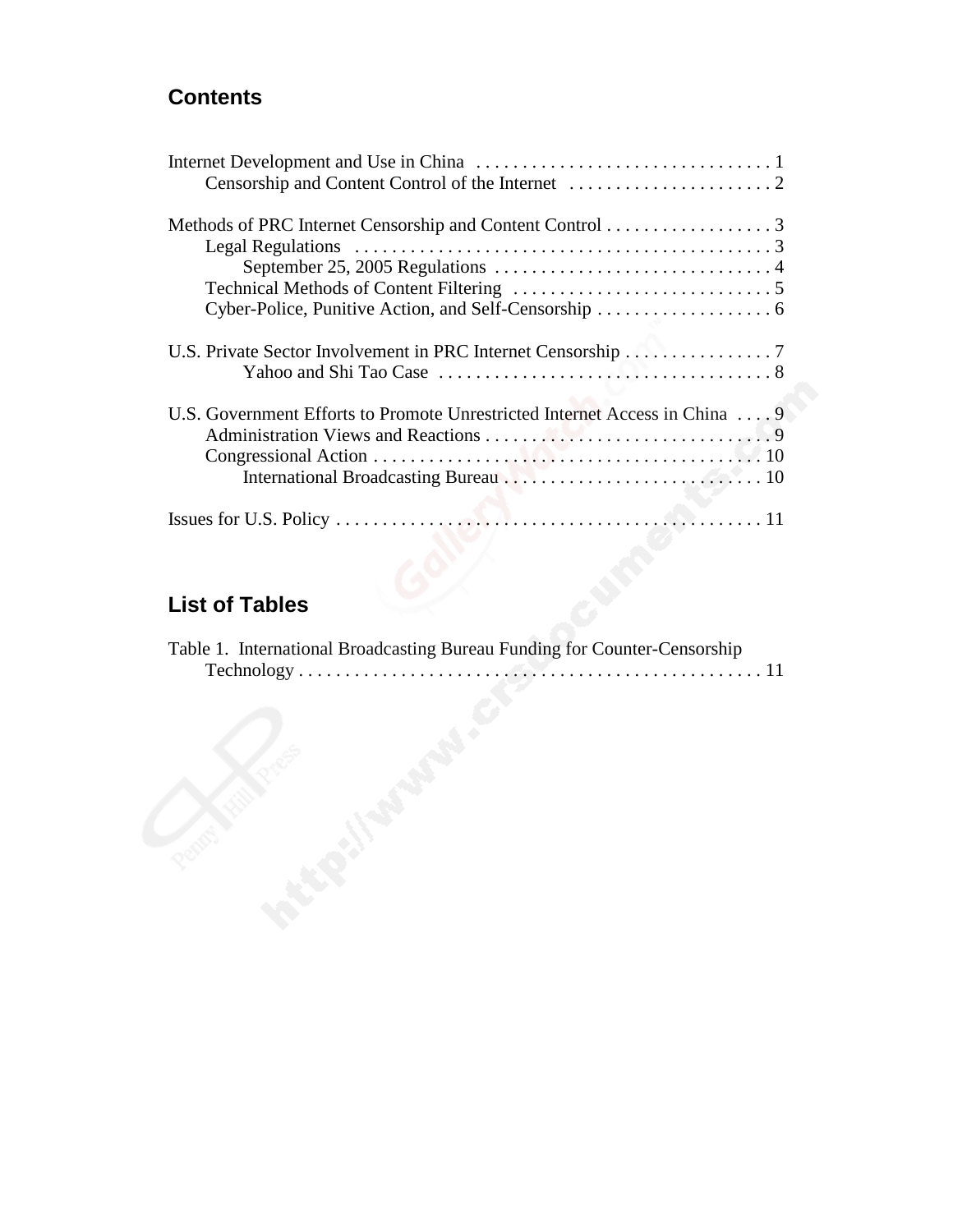# **Contents**

| U.S. Private Sector Involvement in PRC Internet Censorship 7               |
|----------------------------------------------------------------------------|
| U.S. Government Efforts to Promote Unrestricted Internet Access in China 9 |
|                                                                            |

# **List of Tables**

| Table 1. International Broadcasting Bureau Funding for Counter-Censorship |  |
|---------------------------------------------------------------------------|--|
|                                                                           |  |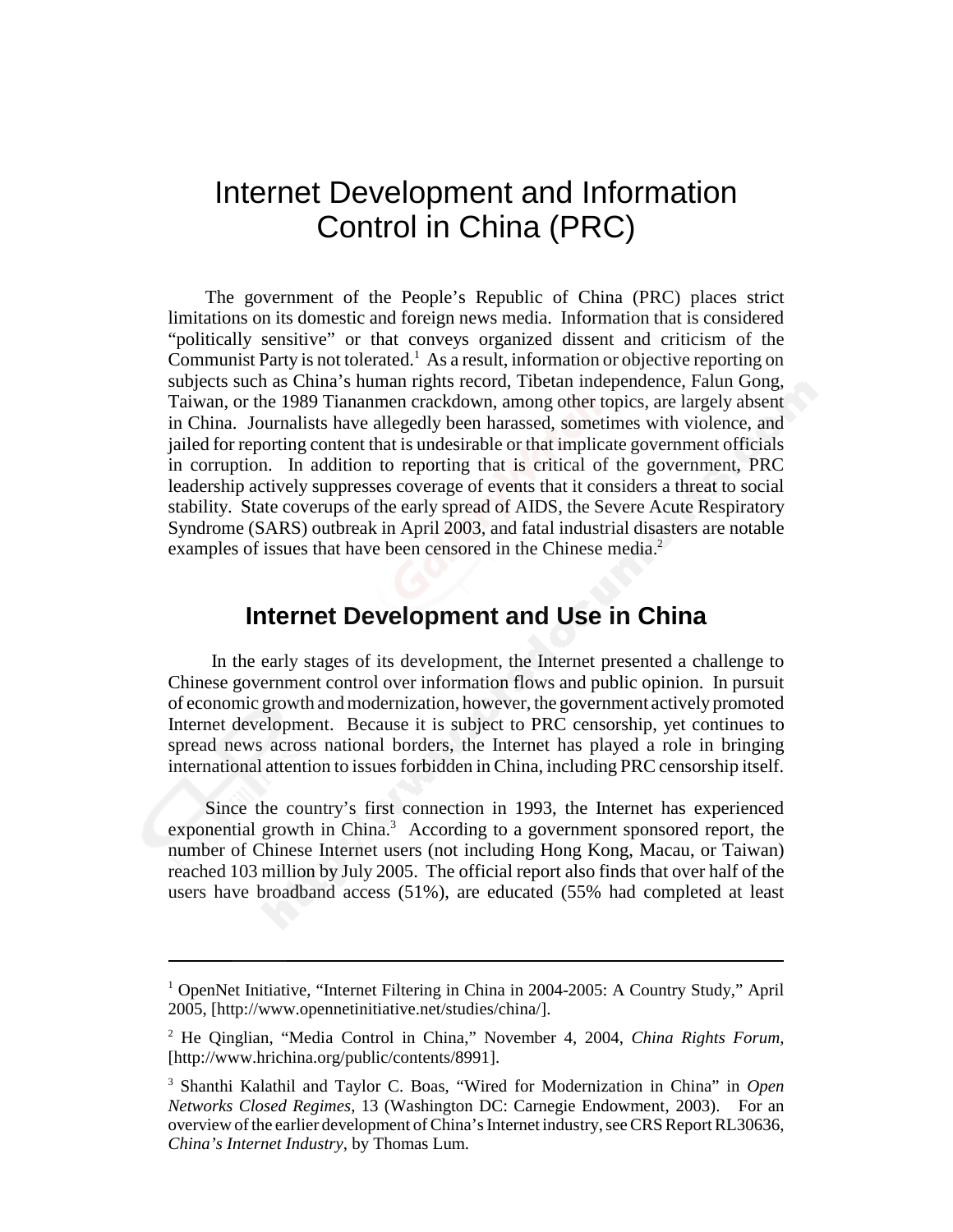# Internet Development and Information Control in China (PRC)

The government of the People's Republic of China (PRC) places strict limitations on its domestic and foreign news media. Information that is considered "politically sensitive" or that conveys organized dissent and criticism of the Communist Party is not tolerated.<sup>1</sup> As a result, information or objective reporting on subjects such as China's human rights record, Tibetan independence, Falun Gong, Taiwan, or the 1989 Tiananmen crackdown, among other topics, are largely absent in China. Journalists have allegedly been harassed, sometimes with violence, and jailed for reporting content that is undesirable or that implicate government officials in corruption. In addition to reporting that is critical of the government, PRC leadership actively suppresses coverage of events that it considers a threat to social stability. State coverups of the early spread of AIDS, the Severe Acute Respiratory Syndrome (SARS) outbreak in April 2003, and fatal industrial disasters are notable examples of issues that have been censored in the Chinese media.<sup>2</sup>

### **Internet Development and Use in China**

 In the early stages of its development, the Internet presented a challenge to Chinese government control over information flows and public opinion. In pursuit of economic growth and modernization, however, the government actively promoted Internet development. Because it is subject to PRC censorship, yet continues to spread news across national borders, the Internet has played a role in bringing international attention to issues forbidden in China, including PRC censorship itself.

Since the country's first connection in 1993, the Internet has experienced exponential growth in China.<sup>3</sup> According to a government sponsored report, the number of Chinese Internet users (not including Hong Kong, Macau, or Taiwan) reached 103 million by July 2005. The official report also finds that over half of the users have broadband access (51%), are educated (55% had completed at least

<sup>&</sup>lt;sup>1</sup> OpenNet Initiative, "Internet Filtering in China in 2004-2005: A Country Study," April 2005, [http://www.opennetinitiative.net/studies/china/].

<sup>2</sup> He Qinglian, "Media Control in China," November 4, 2004, *China Rights Forum*, [http://www.hrichina.org/public/contents/8991].

<sup>3</sup> Shanthi Kalathil and Taylor C. Boas, "Wired for Modernization in China" in *Open Networks Closed Regimes*, 13 (Washington DC: Carnegie Endowment, 2003). For an overview of the earlier development of China's Internet industry, see CRS Report RL30636, *China's Internet Industry*, by Thomas Lum.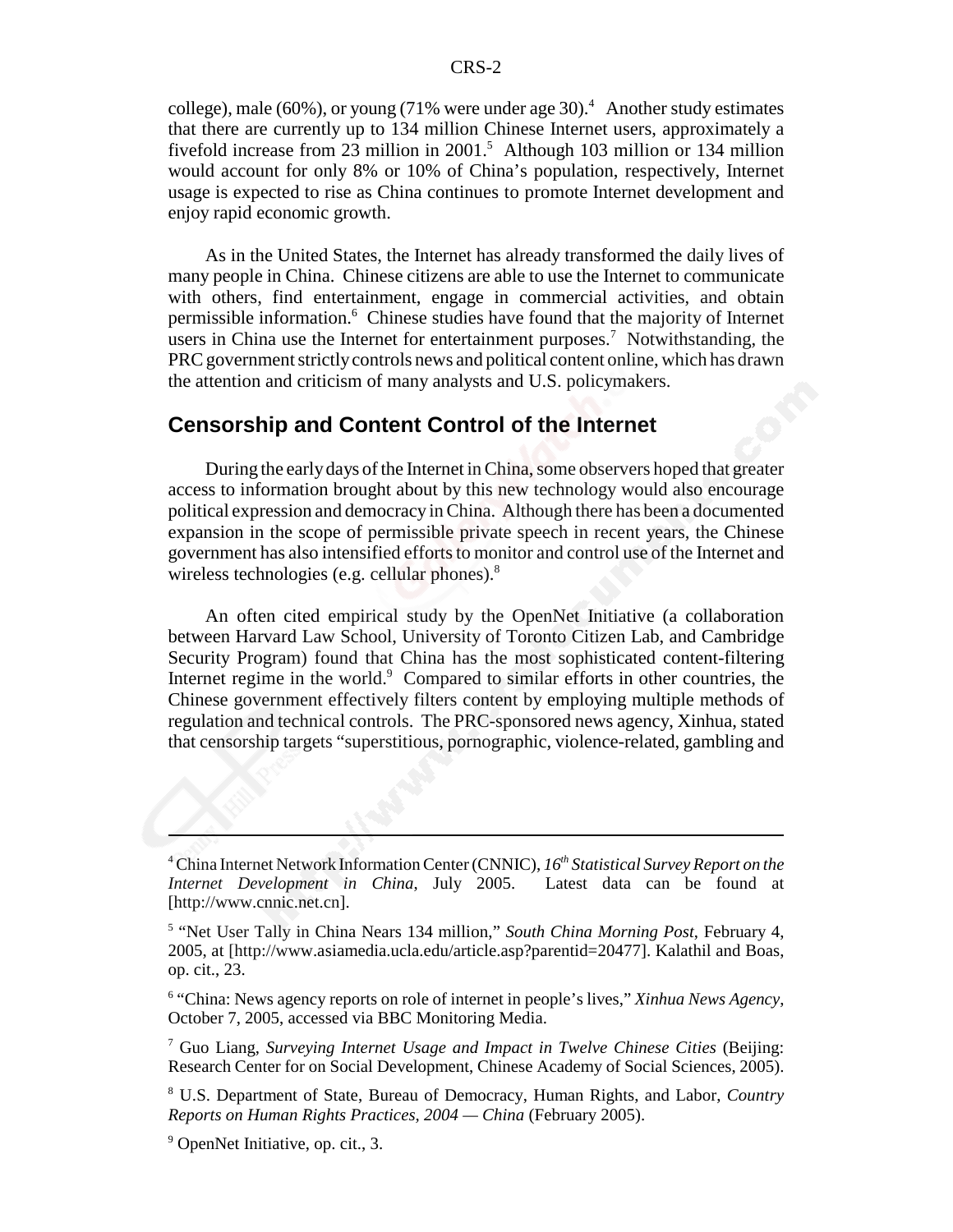college), male (60%), or young (71% were under age 30).<sup>4</sup> Another study estimates that there are currently up to 134 million Chinese Internet users, approximately a fivefold increase from 23 million in 2001.<sup>5</sup> Although 103 million or 134 million would account for only 8% or 10% of China's population, respectively, Internet usage is expected to rise as China continues to promote Internet development and enjoy rapid economic growth.

As in the United States, the Internet has already transformed the daily lives of many people in China. Chinese citizens are able to use the Internet to communicate with others, find entertainment, engage in commercial activities, and obtain permissible information.<sup>6</sup> Chinese studies have found that the majority of Internet users in China use the Internet for entertainment purposes.<sup>7</sup> Notwithstanding, the PRC government strictly controls news and political content online, which has drawn the attention and criticism of many analysts and U.S. policymakers.

#### **Censorship and Content Control of the Internet**

During the early days of the Internet in China, some observers hoped that greater access to information brought about by this new technology would also encourage political expression and democracy in China. Although there has been a documented expansion in the scope of permissible private speech in recent years, the Chinese government has also intensified efforts to monitor and control use of the Internet and wireless technologies (e.g. cellular phones).<sup>8</sup>

An often cited empirical study by the OpenNet Initiative (a collaboration between Harvard Law School, University of Toronto Citizen Lab, and Cambridge Security Program) found that China has the most sophisticated content-filtering Internet regime in the world.<sup>9</sup> Compared to similar efforts in other countries, the Chinese government effectively filters content by employing multiple methods of regulation and technical controls. The PRC-sponsored news agency, Xinhua, stated that censorship targets "superstitious, pornographic, violence-related, gambling and

8 U.S. Department of State, Bureau of Democracy, Human Rights, and Labor, *Country Reports on Human Rights Practices, 2004 — China* (February 2005).

<sup>&</sup>lt;sup>4</sup> China Internet Network Information Center (CNNIC), 16<sup>th</sup> Statistical Survey Report on the *Internet Development in China*, July 2005. Latest data can be found at [http://www.cnnic.net.cn].

<sup>&</sup>lt;sup>5</sup> "Net User Tally in China Nears 134 million," South China Morning Post, February 4, 2005, at [http://www.asiamedia.ucla.edu/article.asp?parentid=20477]. Kalathil and Boas, op. cit., 23.

<sup>6</sup> "China: News agency reports on role of internet in people's lives," *Xinhua News Agency*, October 7, 2005, accessed via BBC Monitoring Media.

<sup>7</sup> Guo Liang, *Surveying Internet Usage and Impact in Twelve Chinese Cities* (Beijing: Research Center for on Social Development, Chinese Academy of Social Sciences, 2005).

<sup>&</sup>lt;sup>9</sup> OpenNet Initiative, op. cit., 3.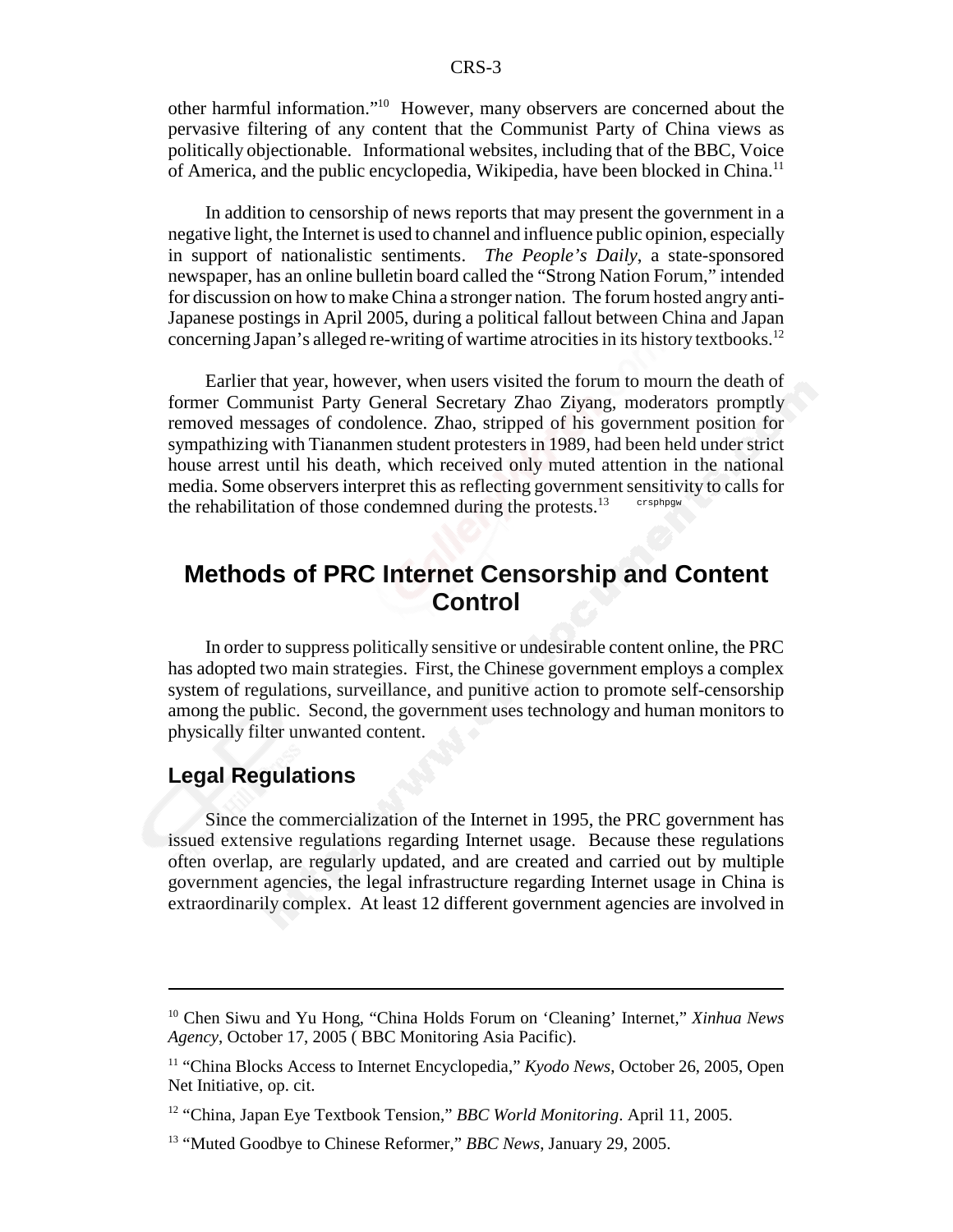other harmful information."10 However, many observers are concerned about the pervasive filtering of any content that the Communist Party of China views as politically objectionable. Informational websites, including that of the BBC, Voice of America, and the public encyclopedia, Wikipedia, have been blocked in China.<sup>11</sup>

In addition to censorship of news reports that may present the government in a negative light, the Internet is used to channel and influence public opinion, especially in support of nationalistic sentiments. *The People's Daily*, a state-sponsored newspaper, has an online bulletin board called the "Strong Nation Forum," intended for discussion on how to make China a stronger nation. The forum hosted angry anti-Japanese postings in April 2005, during a political fallout between China and Japan concerning Japan's alleged re-writing of wartime atrocities in its history textbooks.<sup>12</sup>

Earlier that year, however, when users visited the forum to mourn the death of former Communist Party General Secretary Zhao Ziyang, moderators promptly removed messages of condolence. Zhao, stripped of his government position for sympathizing with Tiananmen student protesters in 1989, had been held under strict house arrest until his death, which received only muted attention in the national media. Some observers interpret this as reflecting government sensitivity to calls for the rehabilitation of those condemned during the protests.<sup>13</sup> crsphpgw

## **Methods of PRC Internet Censorship and Content Control**

In order to suppress politically sensitive or undesirable content online, the PRC has adopted two main strategies. First, the Chinese government employs a complex system of regulations, surveillance, and punitive action to promote self-censorship among the public. Second, the government uses technology and human monitors to physically filter unwanted content.

#### **Legal Regulations**

Since the commercialization of the Internet in 1995, the PRC government has issued extensive regulations regarding Internet usage. Because these regulations often overlap, are regularly updated, and are created and carried out by multiple government agencies, the legal infrastructure regarding Internet usage in China is extraordinarily complex. At least 12 different government agencies are involved in

<sup>10</sup> Chen Siwu and Yu Hong, "China Holds Forum on 'Cleaning' Internet," *Xinhua News Agency*, October 17, 2005 ( BBC Monitoring Asia Pacific).

<sup>&</sup>lt;sup>11</sup> "China Blocks Access to Internet Encyclopedia," *Kyodo News*, October 26, 2005, Open Net Initiative, op. cit.

<sup>12 &</sup>quot;China, Japan Eye Textbook Tension," *BBC World Monitoring*. April 11, 2005.

<sup>13 &</sup>quot;Muted Goodbye to Chinese Reformer," *BBC News*, January 29, 2005.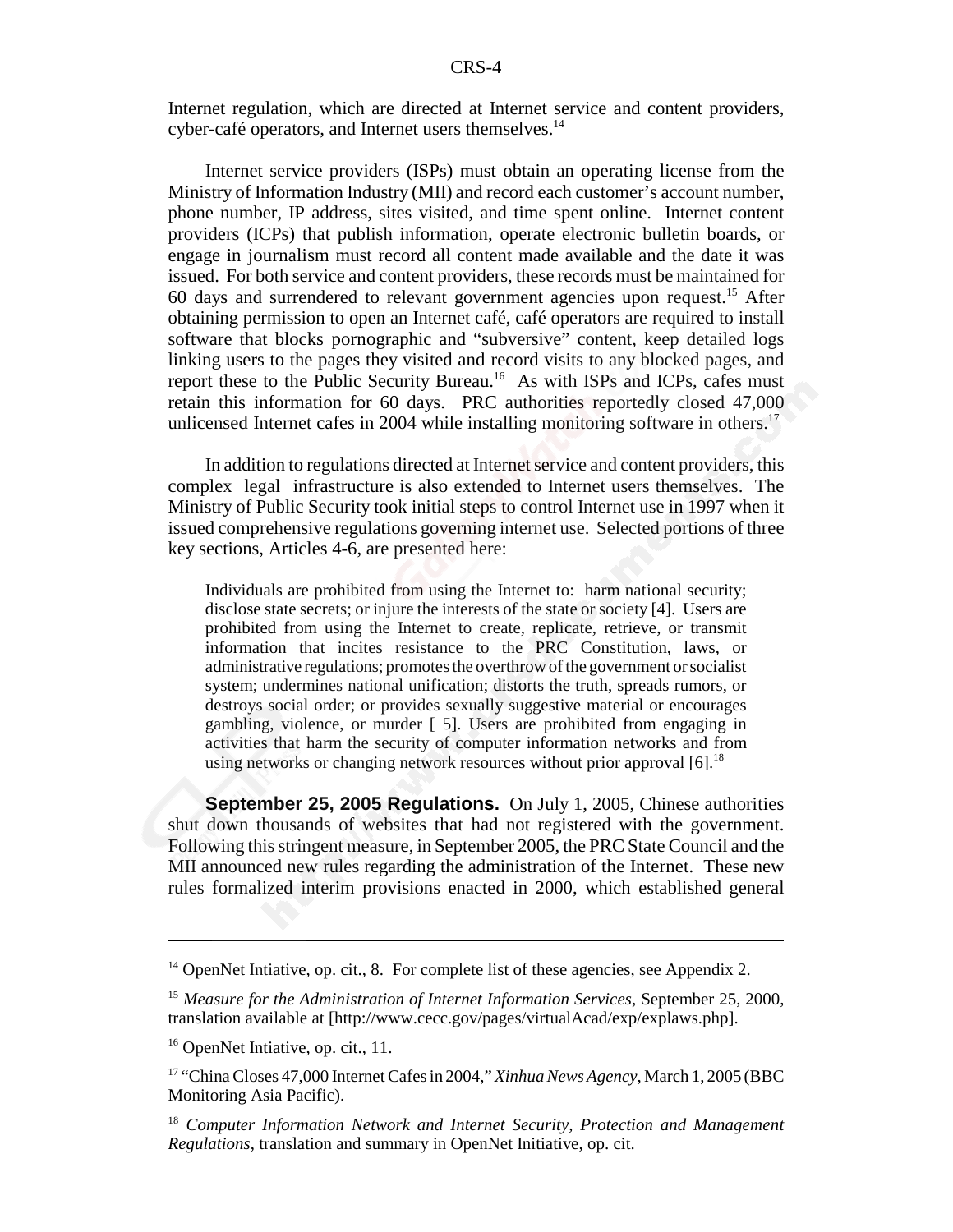Internet regulation, which are directed at Internet service and content providers, cyber-café operators, and Internet users themselves.<sup>14</sup>

Internet service providers (ISPs) must obtain an operating license from the Ministry of Information Industry (MII) and record each customer's account number, phone number, IP address, sites visited, and time spent online. Internet content providers (ICPs) that publish information, operate electronic bulletin boards, or engage in journalism must record all content made available and the date it was issued. For both service and content providers, these records must be maintained for 60 days and surrendered to relevant government agencies upon request.15 After obtaining permission to open an Internet café, café operators are required to install software that blocks pornographic and "subversive" content, keep detailed logs linking users to the pages they visited and record visits to any blocked pages, and report these to the Public Security Bureau.<sup>16</sup> As with ISPs and ICPs, cafes must retain this information for 60 days. PRC authorities reportedly closed 47,000 unlicensed Internet cafes in 2004 while installing monitoring software in others.<sup>17</sup>

In addition to regulations directed at Internet service and content providers, this complex legal infrastructure is also extended to Internet users themselves. The Ministry of Public Security took initial steps to control Internet use in 1997 when it issued comprehensive regulations governing internet use. Selected portions of three key sections, Articles 4-6, are presented here:

Individuals are prohibited from using the Internet to: harm national security; disclose state secrets; or injure the interests of the state or society [4]. Users are prohibited from using the Internet to create, replicate, retrieve, or transmit information that incites resistance to the PRC Constitution, laws, or administrative regulations; promotes the overthrow of the government or socialist system; undermines national unification; distorts the truth, spreads rumors, or destroys social order; or provides sexually suggestive material or encourages gambling, violence, or murder [ 5]. Users are prohibited from engaging in activities that harm the security of computer information networks and from using networks or changing network resources without prior approval [6].<sup>18</sup>

**September 25, 2005 Regulations.** On July 1, 2005, Chinese authorities shut down thousands of websites that had not registered with the government. Following this stringent measure, in September 2005, the PRC State Council and the MII announced new rules regarding the administration of the Internet. These new rules formalized interim provisions enacted in 2000, which established general

 $14$  OpenNet Intiative, op. cit., 8. For complete list of these agencies, see Appendix 2.

<sup>15</sup> *Measure for the Administration of Internet Information Services*, September 25, 2000, translation available at [http://www.cecc.gov/pages/virtualAcad/exp/explaws.php].

<sup>&</sup>lt;sup>16</sup> OpenNet Intiative, op. cit., 11.

<sup>17 &</sup>quot;China Closes 47,000 Internet Cafes in 2004," *Xinhua News Agency*, March 1, 2005 (BBC Monitoring Asia Pacific).

<sup>18</sup> *Computer Information Network and Internet Security, Protection and Management Regulations*, translation and summary in OpenNet Initiative, op. cit.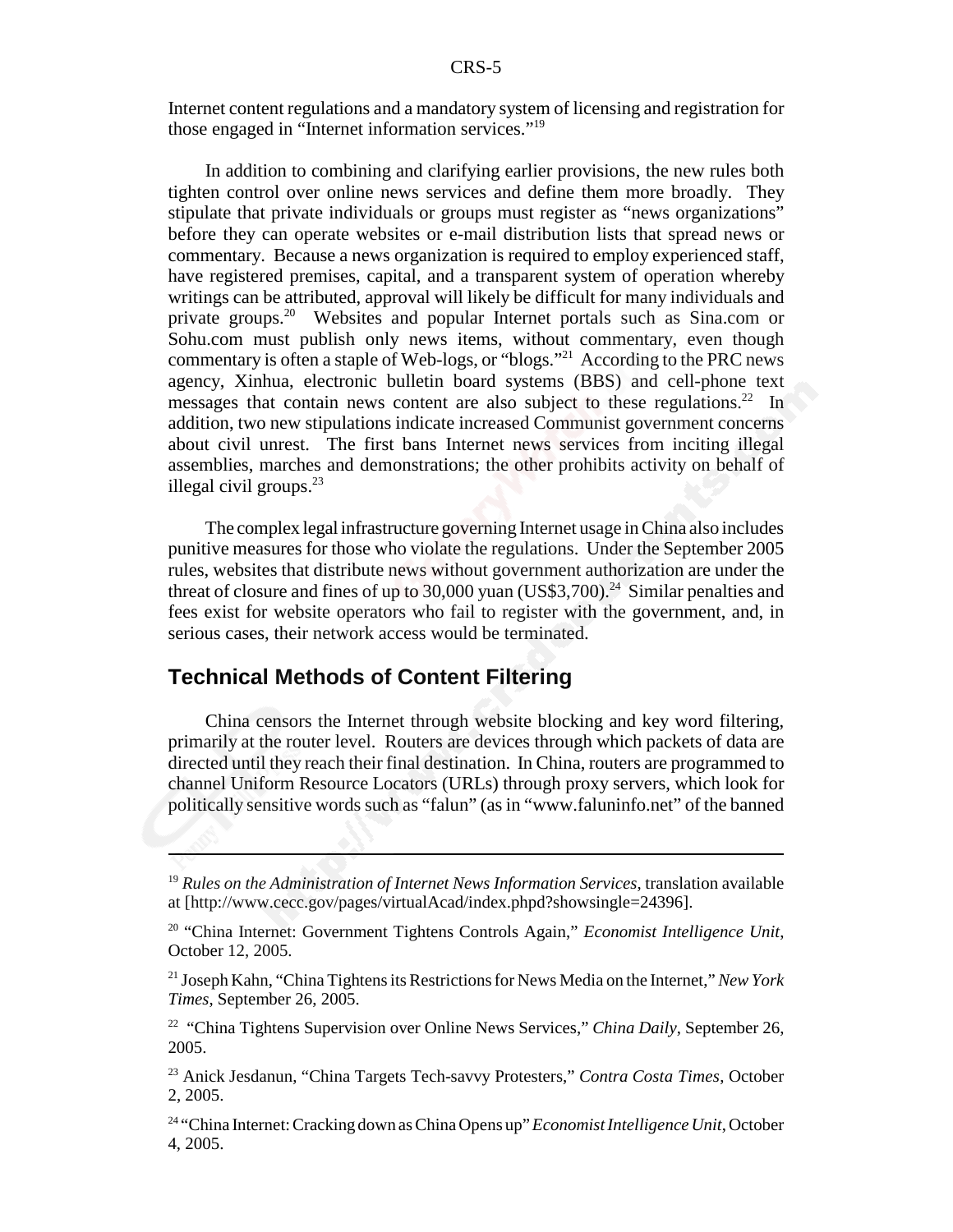Internet content regulations and a mandatory system of licensing and registration for those engaged in "Internet information services."19

In addition to combining and clarifying earlier provisions, the new rules both tighten control over online news services and define them more broadly. They stipulate that private individuals or groups must register as "news organizations" before they can operate websites or e-mail distribution lists that spread news or commentary. Because a news organization is required to employ experienced staff, have registered premises, capital, and a transparent system of operation whereby writings can be attributed, approval will likely be difficult for many individuals and private groups.<sup>20</sup> Websites and popular Internet portals such as Sina.com or Sohu.com must publish only news items, without commentary, even though commentary is often a staple of Web-logs, or "blogs."21 According to the PRC news agency, Xinhua, electronic bulletin board systems (BBS) and cell-phone text messages that contain news content are also subject to these regulations.<sup>22</sup> In addition, two new stipulations indicate increased Communist government concerns about civil unrest. The first bans Internet news services from inciting illegal assemblies, marches and demonstrations; the other prohibits activity on behalf of illegal civil groups. $^{23}$ 

The complex legal infrastructure governing Internet usage in China also includes punitive measures for those who violate the regulations. Under the September 2005 rules, websites that distribute news without government authorization are under the threat of closure and fines of up to 30,000 yuan  $(US$3,700).<sup>24</sup>$  Similar penalties and fees exist for website operators who fail to register with the government, and, in serious cases, their network access would be terminated.

#### **Technical Methods of Content Filtering**

China censors the Internet through website blocking and key word filtering, primarily at the router level. Routers are devices through which packets of data are directed until they reach their final destination. In China, routers are programmed to channel Uniform Resource Locators (URLs) through proxy servers, which look for politically sensitive words such as "falun" (as in "www.faluninfo.net" of the banned

<sup>19</sup> *Rules on the Administration of Internet News Information Services*, translation available at [http://www.cecc.gov/pages/virtualAcad/index.phpd?showsingle=24396].

<sup>20 &</sup>quot;China Internet: Government Tightens Controls Again," *Economist Intelligence Unit*, October 12, 2005.

<sup>21</sup> Joseph Kahn, "China Tightens its Restrictions for News Media on the Internet," *New York Times*, September 26, 2005.

<sup>&</sup>lt;sup>22</sup> "China Tightens Supervision over Online News Services," *China Daily*, September 26, 2005.

<sup>23</sup> Anick Jesdanun, "China Targets Tech-savvy Protesters," *Contra Costa Times*, October 2, 2005.

<sup>24 &</sup>quot;China Internet: Cracking down as China Opens up" *Economist Intelligence Unit*, October 4, 2005.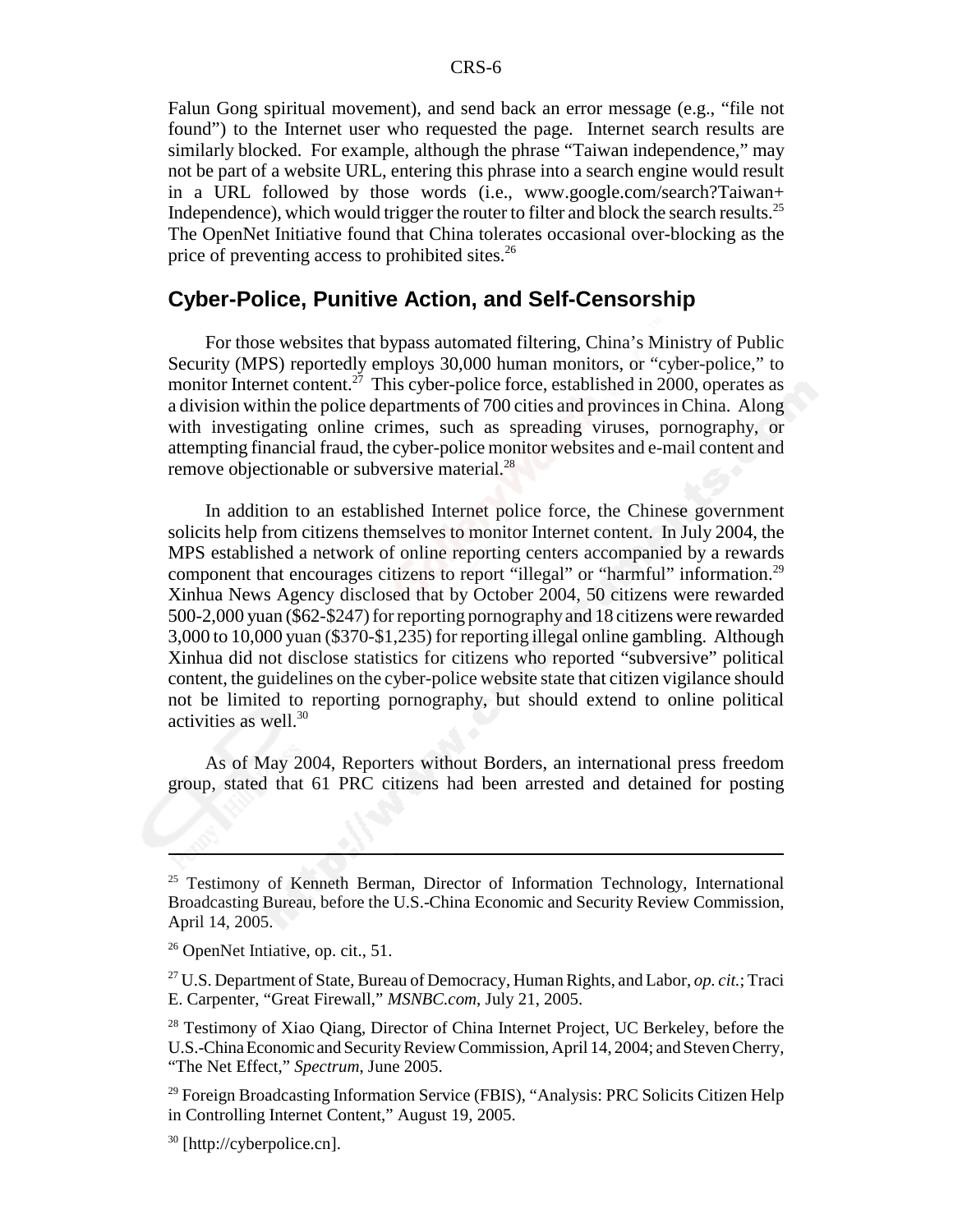Falun Gong spiritual movement), and send back an error message (e.g., "file not found") to the Internet user who requested the page. Internet search results are similarly blocked. For example, although the phrase "Taiwan independence," may not be part of a website URL, entering this phrase into a search engine would result in a URL followed by those words (i.e., www.google.com/search?Taiwan+ Independence), which would trigger the router to filter and block the search results.<sup>25</sup> The OpenNet Initiative found that China tolerates occasional over-blocking as the price of preventing access to prohibited sites.<sup>26</sup>

#### **Cyber-Police, Punitive Action, and Self-Censorship**

For those websites that bypass automated filtering, China's Ministry of Public Security (MPS) reportedly employs 30,000 human monitors, or "cyber-police," to monitor Internet content.<sup>27</sup> This cyber-police force, established in 2000, operates as a division within the police departments of 700 cities and provinces in China. Along with investigating online crimes, such as spreading viruses, pornography, or attempting financial fraud, the cyber-police monitor websites and e-mail content and remove objectionable or subversive material.<sup>28</sup>

In addition to an established Internet police force, the Chinese government solicits help from citizens themselves to monitor Internet content. In July 2004, the MPS established a network of online reporting centers accompanied by a rewards component that encourages citizens to report "illegal" or "harmful" information.29 Xinhua News Agency disclosed that by October 2004, 50 citizens were rewarded 500-2,000 yuan (\$62-\$247) for reporting pornography and 18 citizens were rewarded 3,000 to 10,000 yuan (\$370-\$1,235) for reporting illegal online gambling. Although Xinhua did not disclose statistics for citizens who reported "subversive" political content, the guidelines on the cyber-police website state that citizen vigilance should not be limited to reporting pornography, but should extend to online political activities as well.<sup>30</sup>

As of May 2004, Reporters without Borders, an international press freedom group, stated that 61 PRC citizens had been arrested and detained for posting

<sup>&</sup>lt;sup>25</sup> Testimony of Kenneth Berman, Director of Information Technology, International Broadcasting Bureau, before the U.S.-China Economic and Security Review Commission, April 14, 2005.

<sup>&</sup>lt;sup>26</sup> OpenNet Intiative, op. cit., 51.

<sup>27</sup> U.S. Department of State, Bureau of Democracy, Human Rights, and Labor, *op. cit.*; Traci E. Carpenter, "Great Firewall," *MSNBC.com*, July 21, 2005.

<sup>&</sup>lt;sup>28</sup> Testimony of Xiao Qiang, Director of China Internet Project, UC Berkeley, before the U.S.-China Economic and Security Review Commission, April 14, 2004; and Steven Cherry, "The Net Effect," *Spectrum*, June 2005.

<sup>&</sup>lt;sup>29</sup> Foreign Broadcasting Information Service (FBIS), "Analysis: PRC Solicits Citizen Help in Controlling Internet Content," August 19, 2005.

<sup>30 [</sup>http://cyberpolice.cn].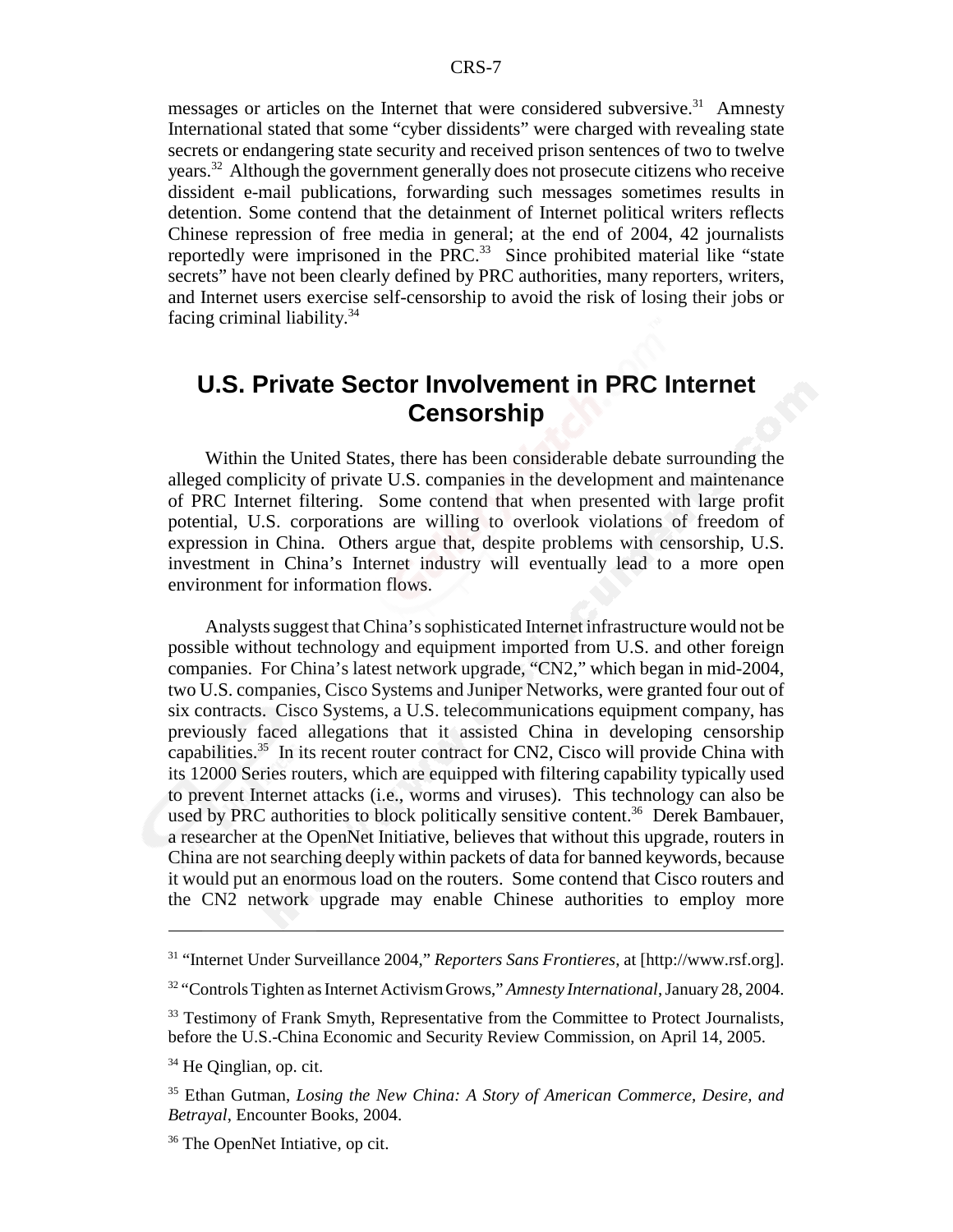messages or articles on the Internet that were considered subversive.<sup>31</sup> Amnesty International stated that some "cyber dissidents" were charged with revealing state secrets or endangering state security and received prison sentences of two to twelve years.32 Although the government generally does not prosecute citizens who receive dissident e-mail publications, forwarding such messages sometimes results in detention. Some contend that the detainment of Internet political writers reflects Chinese repression of free media in general; at the end of 2004, 42 journalists reportedly were imprisoned in the  $PRC<sup>33</sup>$  Since prohibited material like "state" secrets" have not been clearly defined by PRC authorities, many reporters, writers, and Internet users exercise self-censorship to avoid the risk of losing their jobs or facing criminal liability. $34$ 

### **U.S. Private Sector Involvement in PRC Internet Censorship**

Within the United States, there has been considerable debate surrounding the alleged complicity of private U.S. companies in the development and maintenance of PRC Internet filtering. Some contend that when presented with large profit potential, U.S. corporations are willing to overlook violations of freedom of expression in China. Others argue that, despite problems with censorship, U.S. investment in China's Internet industry will eventually lead to a more open environment for information flows.

Analysts suggest that China's sophisticated Internet infrastructure would not be possible without technology and equipment imported from U.S. and other foreign companies. For China's latest network upgrade, "CN2," which began in mid-2004, two U.S. companies, Cisco Systems and Juniper Networks, were granted four out of six contracts. Cisco Systems, a U.S. telecommunications equipment company, has previously faced allegations that it assisted China in developing censorship capabilities.35 In its recent router contract for CN2, Cisco will provide China with its 12000 Series routers, which are equipped with filtering capability typically used to prevent Internet attacks (i.e., worms and viruses). This technology can also be used by PRC authorities to block politically sensitive content.<sup>36</sup> Derek Bambauer, a researcher at the OpenNet Initiative, believes that without this upgrade, routers in China are not searching deeply within packets of data for banned keywords, because it would put an enormous load on the routers. Some contend that Cisco routers and the CN2 network upgrade may enable Chinese authorities to employ more

<sup>31 &</sup>quot;Internet Under Surveillance 2004," *Reporters Sans Frontieres*, at [http://www.rsf.org].

<sup>32 &</sup>quot;Controls Tighten as Internet Activism Grows," *Amnesty International*, January 28, 2004.

<sup>&</sup>lt;sup>33</sup> Testimony of Frank Smyth, Representative from the Committee to Protect Journalists, before the U.S.-China Economic and Security Review Commission, on April 14, 2005.

<sup>&</sup>lt;sup>34</sup> He Oinglian, op. cit.

<sup>35</sup> Ethan Gutman, *Losing the New China: A Story of American Commerce, Desire, and Betrayal*, Encounter Books, 2004.

<sup>&</sup>lt;sup>36</sup> The OpenNet Intiative, op cit.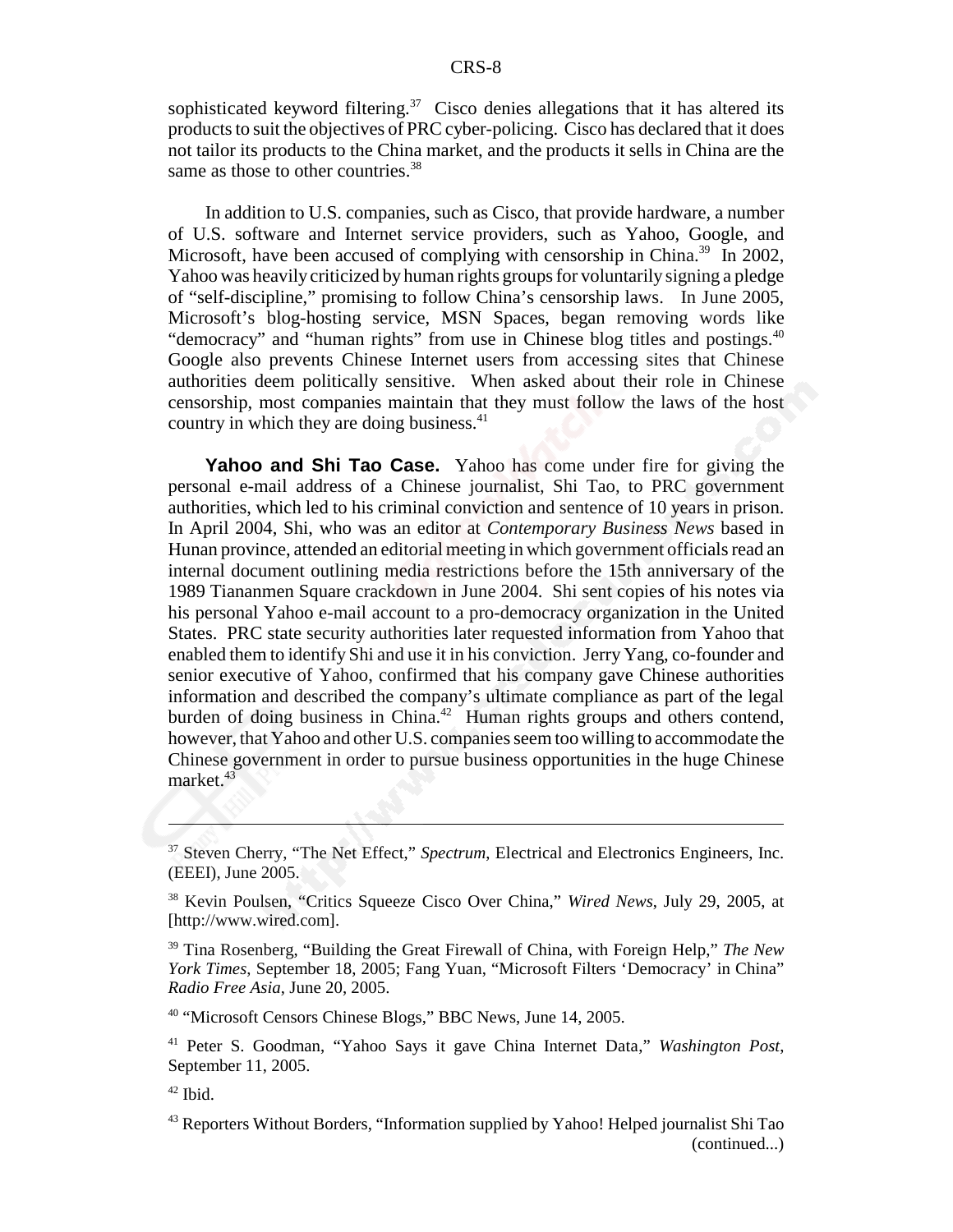sophisticated keyword filtering.<sup>37</sup> Cisco denies allegations that it has altered its products to suit the objectives of PRC cyber-policing. Cisco has declared that it does not tailor its products to the China market, and the products it sells in China are the same as those to other countries.<sup>38</sup>

In addition to U.S. companies, such as Cisco, that provide hardware, a number of U.S. software and Internet service providers, such as Yahoo, Google, and Microsoft, have been accused of complying with censorship in China.<sup>39</sup> In 2002, Yahoo was heavily criticized by human rights groups for voluntarily signing a pledge of "self-discipline," promising to follow China's censorship laws. In June 2005, Microsoft's blog-hosting service, MSN Spaces, began removing words like "democracy" and "human rights" from use in Chinese blog titles and postings.<sup>40</sup> Google also prevents Chinese Internet users from accessing sites that Chinese authorities deem politically sensitive. When asked about their role in Chinese censorship, most companies maintain that they must follow the laws of the host country in which they are doing business.<sup>41</sup>

**Yahoo and Shi Tao Case.** Yahoo has come under fire for giving the personal e-mail address of a Chinese journalist, Shi Tao, to PRC government authorities, which led to his criminal conviction and sentence of 10 years in prison. In April 2004, Shi, who was an editor at *Contemporary Business News* based in Hunan province, attended an editorial meeting in which government officials read an internal document outlining media restrictions before the 15th anniversary of the 1989 Tiananmen Square crackdown in June 2004. Shi sent copies of his notes via his personal Yahoo e-mail account to a pro-democracy organization in the United States. PRC state security authorities later requested information from Yahoo that enabled them to identify Shi and use it in his conviction. Jerry Yang, co-founder and senior executive of Yahoo, confirmed that his company gave Chinese authorities information and described the company's ultimate compliance as part of the legal burden of doing business in China.<sup>42</sup> Human rights groups and others contend, however, that Yahoo and other U.S. companies seem too willing to accommodate the Chinese government in order to pursue business opportunities in the huge Chinese market.<sup>43</sup>

<sup>40</sup> "Microsoft Censors Chinese Blogs," BBC News, June 14, 2005.

<sup>&</sup>lt;sup>37</sup> Steven Cherry, "The Net Effect," Spectrum, Electrical and Electronics Engineers, Inc. (EEEI), June 2005.

<sup>38</sup> Kevin Poulsen, "Critics Squeeze Cisco Over China," *Wired News*, July 29, 2005, at [http://www.wired.com].

<sup>39</sup> Tina Rosenberg, "Building the Great Firewall of China, with Foreign Help," *The New York Times*, September 18, 2005; Fang Yuan, "Microsoft Filters 'Democracy' in China" *Radio Free Asia*, June 20, 2005.

<sup>41</sup> Peter S. Goodman, "Yahoo Says it gave China Internet Data," *Washington Post*, September 11, 2005.

 $42$  Ibid.

<sup>43</sup> Reporters Without Borders, "Information supplied by Yahoo! Helped journalist Shi Tao (continued...)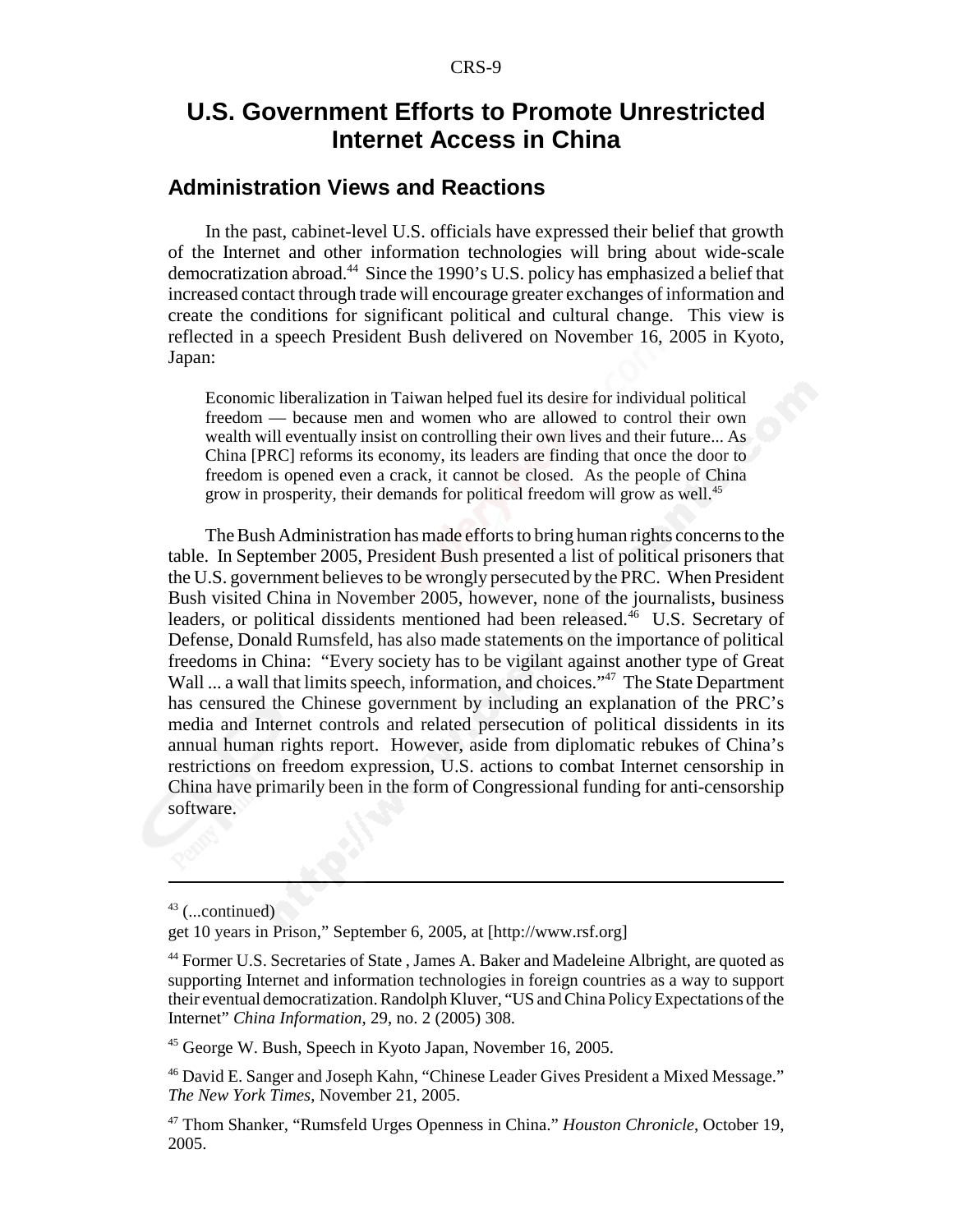### **U.S. Government Efforts to Promote Unrestricted Internet Access in China**

#### **Administration Views and Reactions**

In the past, cabinet-level U.S. officials have expressed their belief that growth of the Internet and other information technologies will bring about wide-scale democratization abroad.44 Since the 1990's U.S. policy has emphasized a belief that increased contact through trade will encourage greater exchanges of information and create the conditions for significant political and cultural change. This view is reflected in a speech President Bush delivered on November 16, 2005 in Kyoto, Japan:

Economic liberalization in Taiwan helped fuel its desire for individual political freedom — because men and women who are allowed to control their own wealth will eventually insist on controlling their own lives and their future... As China [PRC] reforms its economy, its leaders are finding that once the door to freedom is opened even a crack, it cannot be closed. As the people of China grow in prosperity, their demands for political freedom will grow as well.<sup>45</sup>

The Bush Administration has made efforts to bring human rights concerns to the table. In September 2005, President Bush presented a list of political prisoners that the U.S. government believes to be wrongly persecuted by the PRC. When President Bush visited China in November 2005, however, none of the journalists, business leaders, or political dissidents mentioned had been released.<sup>46</sup> U.S. Secretary of Defense, Donald Rumsfeld, has also made statements on the importance of political freedoms in China: "Every society has to be vigilant against another type of Great Wall ... a wall that limits speech, information, and choices."<sup>47</sup> The State Department has censured the Chinese government by including an explanation of the PRC's media and Internet controls and related persecution of political dissidents in its annual human rights report. However, aside from diplomatic rebukes of China's restrictions on freedom expression, U.S. actions to combat Internet censorship in China have primarily been in the form of Congressional funding for anti-censorship software.

45 George W. Bush, Speech in Kyoto Japan, November 16, 2005.

 $43$  (...continued)

get 10 years in Prison," September 6, 2005, at [http://www.rsf.org]

<sup>44</sup> Former U.S. Secretaries of State , James A. Baker and Madeleine Albright, are quoted as supporting Internet and information technologies in foreign countries as a way to support their eventual democratization. Randolph Kluver, "US and China Policy Expectations of the Internet" *China Information*, 29, no. 2 (2005) 308.

<sup>&</sup>lt;sup>46</sup> David E. Sanger and Joseph Kahn, "Chinese Leader Gives President a Mixed Message." *The New York Times*, November 21, 2005.

<sup>47</sup> Thom Shanker, "Rumsfeld Urges Openness in China." *Houston Chronicle*, October 19, 2005.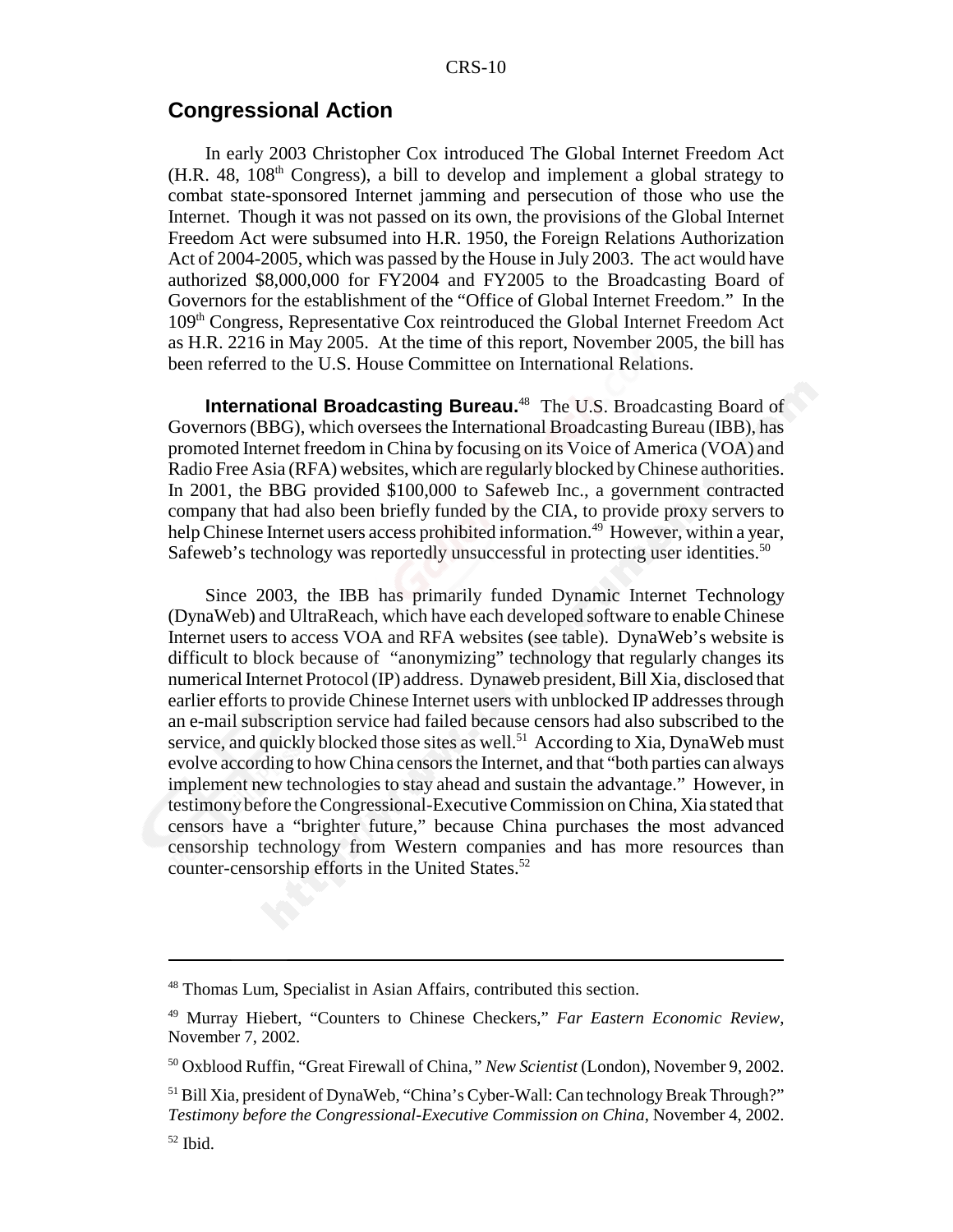#### **Congressional Action**

In early 2003 Christopher Cox introduced The Global Internet Freedom Act  $(H.R. 48, 108<sup>th</sup> Congress)$ , a bill to develop and implement a global strategy to combat state-sponsored Internet jamming and persecution of those who use the Internet. Though it was not passed on its own, the provisions of the Global Internet Freedom Act were subsumed into H.R. 1950, the Foreign Relations Authorization Act of 2004-2005, which was passed by the House in July 2003. The act would have authorized \$8,000,000 for FY2004 and FY2005 to the Broadcasting Board of Governors for the establishment of the "Office of Global Internet Freedom." In the 109th Congress, Representative Cox reintroduced the Global Internet Freedom Act as H.R. 2216 in May 2005. At the time of this report, November 2005, the bill has been referred to the U.S. House Committee on International Relations.

**International Broadcasting Bureau.**48 The U.S. Broadcasting Board of Governors (BBG), which oversees the International Broadcasting Bureau (IBB), has promoted Internet freedom in China by focusing on its Voice of America (VOA) and Radio Free Asia (RFA) websites, which are regularly blocked by Chinese authorities. In 2001, the BBG provided \$100,000 to Safeweb Inc., a government contracted company that had also been briefly funded by the CIA, to provide proxy servers to help Chinese Internet users access prohibited information.<sup>49</sup> However, within a year, Safeweb's technology was reportedly unsuccessful in protecting user identities.<sup>50</sup>

Since 2003, the IBB has primarily funded Dynamic Internet Technology (DynaWeb) and UltraReach, which have each developed software to enable Chinese Internet users to access VOA and RFA websites (see table). DynaWeb's website is difficult to block because of "anonymizing" technology that regularly changes its numerical Internet Protocol (IP) address. Dynaweb president, Bill Xia, disclosed that earlier efforts to provide Chinese Internet users with unblocked IP addresses through an e-mail subscription service had failed because censors had also subscribed to the service, and quickly blocked those sites as well.<sup>51</sup> According to Xia, DynaWeb must evolve according to how China censors the Internet, and that "both parties can always implement new technologies to stay ahead and sustain the advantage." However, in testimony before the Congressional-Executive Commission on China, Xia stated that censors have a "brighter future," because China purchases the most advanced censorship technology from Western companies and has more resources than counter-censorship efforts in the United States.<sup>52</sup>

<sup>48</sup> Thomas Lum, Specialist in Asian Affairs, contributed this section.

<sup>49</sup> Murray Hiebert, "Counters to Chinese Checkers," *Far Eastern Economic Review*, November 7, 2002.

<sup>50</sup> Oxblood Ruffin, "Great Firewall of China*," New Scientist* (London), November 9, 2002.

<sup>&</sup>lt;sup>51</sup> Bill Xia, president of DynaWeb, "China's Cyber-Wall: Can technology Break Through?" *Testimony before the Congressional-Executive Commission on China*, November 4, 2002.

 $52$  Ibid.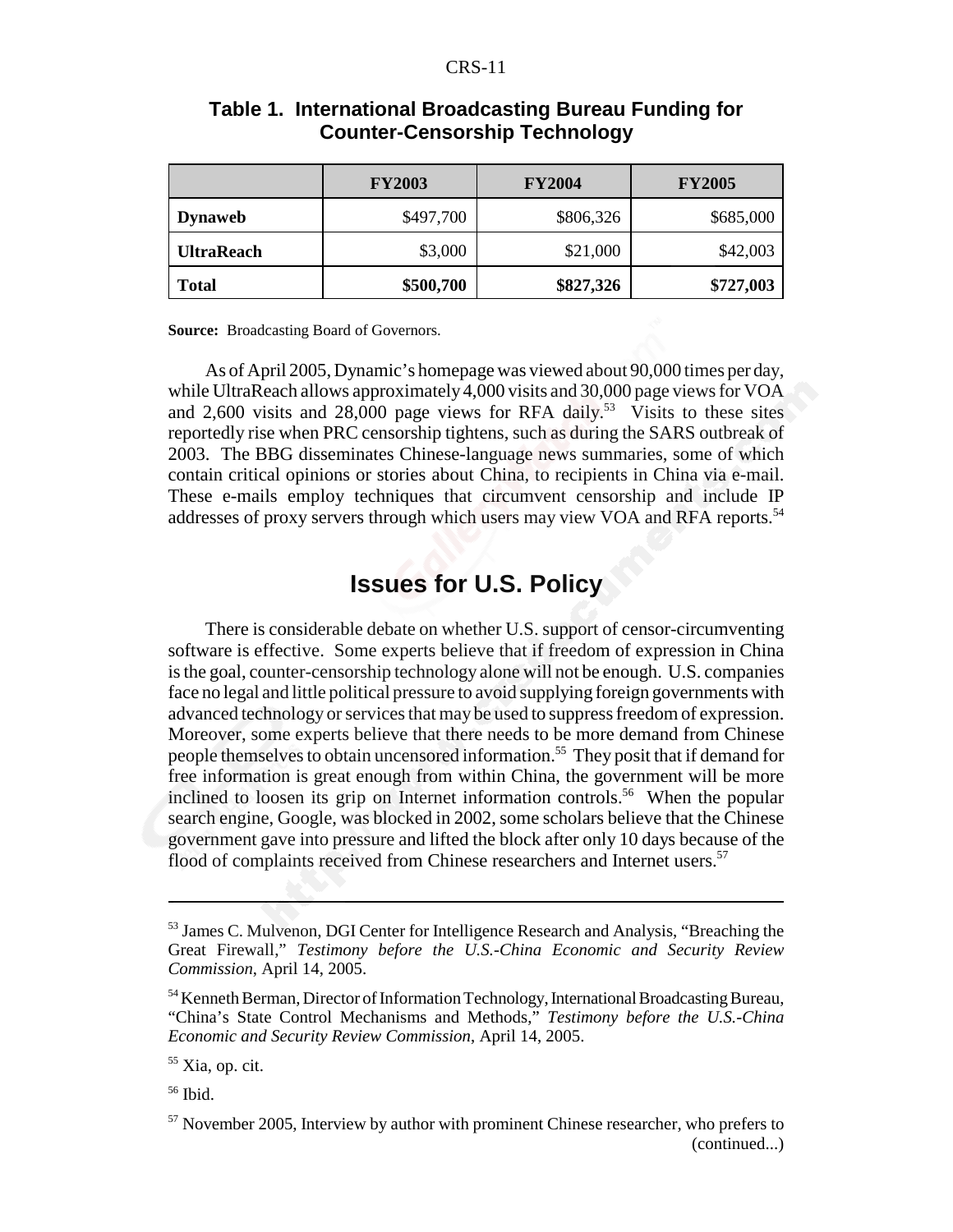#### CRS-11

|                   | <b>FY2003</b> | <b>FY2004</b> | <b>FY2005</b> |
|-------------------|---------------|---------------|---------------|
| <b>Dynaweb</b>    | \$497,700     | \$806,326     | \$685,000     |
| <b>UltraReach</b> | \$3,000       | \$21,000      | \$42,003      |
| <b>Total</b>      | \$500,700     | \$827,326     | \$727,003     |

#### **Table 1. International Broadcasting Bureau Funding for Counter-Censorship Technology**

**Source:** Broadcasting Board of Governors.

As of April 2005, Dynamic's homepage was viewed about 90,000 times per day, while UltraReach allows approximately 4,000 visits and 30,000 page views for VOA and 2,600 visits and 28,000 page views for RFA daily.<sup>53</sup> Visits to these sites reportedly rise when PRC censorship tightens, such as during the SARS outbreak of 2003. The BBG disseminates Chinese-language news summaries, some of which contain critical opinions or stories about China, to recipients in China via e-mail. These e-mails employ techniques that circumvent censorship and include IP addresses of proxy servers through which users may view VOA and RFA reports.<sup>54</sup>

# **Issues for U.S. Policy**

There is considerable debate on whether U.S. support of censor-circumventing software is effective. Some experts believe that if freedom of expression in China is the goal, counter-censorship technology alone will not be enough. U.S. companies face no legal and little political pressure to avoid supplying foreign governments with advanced technology or services that may be used to suppress freedom of expression. Moreover, some experts believe that there needs to be more demand from Chinese people themselves to obtain uncensored information.55 They posit that if demand for free information is great enough from within China, the government will be more inclined to loosen its grip on Internet information controls.<sup>56</sup> When the popular search engine, Google, was blocked in 2002, some scholars believe that the Chinese government gave into pressure and lifted the block after only 10 days because of the flood of complaints received from Chinese researchers and Internet users.<sup>57</sup>

<sup>&</sup>lt;sup>53</sup> James C. Mulvenon, DGI Center for Intelligence Research and Analysis, "Breaching the Great Firewall," *Testimony before the U.S.-China Economic and Security Review Commission*, April 14, 2005.

<sup>54</sup> Kenneth Berman, Director of Information Technology, International Broadcasting Bureau, "China's State Control Mechanisms and Methods," *Testimony before the U.S.-China Economic and Security Review Commission*, April 14, 2005.

 $55$  Xia, op. cit.

<sup>56</sup> Ibid.

<sup>&</sup>lt;sup>57</sup> November 2005, Interview by author with prominent Chinese researcher, who prefers to (continued...)